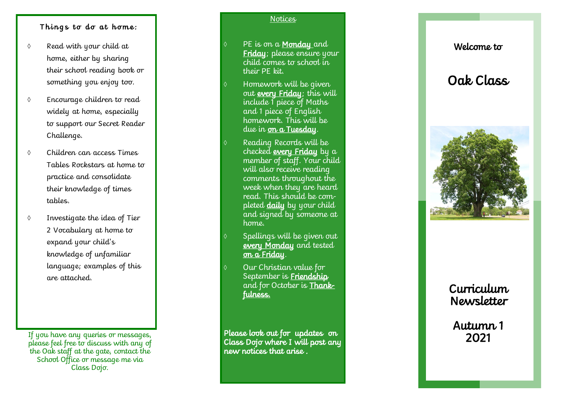#### Things to do at home:

- $\Diamond$  Read with your child at home, either by sharing their school reading book or something you enjoy too.
- Encourage children to read widely at home, especially to support our Secret Reader Challenge.
- Children can access Times Tables Rockstars at home to practice and consolidate their knowledge of times tables.
- Investigate the idea of Tier 2 Vocabulary at home to expand your child's knowledge of unfamiliar language; examples of this are attached.

If you have any queries or messages, please feel free to discuss with any of the Oak staff at the gate, contact the School Office or message me via Class Dojo.

#### **Notices**

PE is on a **Monday** and Friday; please ensure your child comes to school in their PE kit.

- Homework will be given out every Friday; this will include 1 piece of Maths and 1 piece of English homework. This will be due in <u>on a Tuesday</u>.
	- Reading Records will be checked every Friday by a member of staff. Your child will also receive reading comments throughout the week when they are heard read. This should be completed **daily** by your child and signed by someone at home.
- Spellings will be given out every Monday and tested <u>on a Friday</u>.
- Our Christian value for September is **Friendship** and for October is **Thank**fulness.

Please look out for updates on Class Dojo where I will post any new notices that arise .

## Welcome to

# Oak Class



## Curriculum Newsletter

Autumn 1 2021